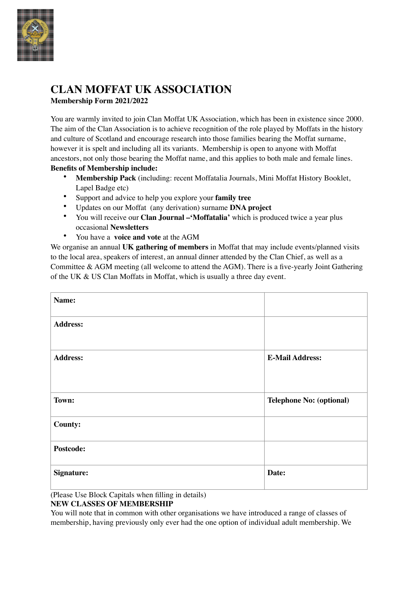

# **CLAN MOFFAT UK ASSOCIATION Membership Form 2021/2022**

You are warmly invited to join Clan Moffat UK Association, which has been in existence since 2000. The aim of the Clan Association is to achieve recognition of the role played by Moffats in the history and culture of Scotland and encourage research into those families bearing the Moffat surname, however it is spelt and including all its variants. Membership is open to anyone with Moffat ancestors, not only those bearing the Moffat name, and this applies to both male and female lines. **Benefits of Membership include:** 

- **Membership Pack** (including: recent Moffatalia Journals, Mini Moffat History Booklet, Lapel Badge etc)
- Support and advice to help you explore your **family tree**
- Updates on our Moffat (any derivation) surname **DNA project**
- You will receive our **Clan Journal –'Moffatalia'** which is produced twice a year plus occasional **Newsletters**
- You have a **voice and vote** at the AGM

We organise an annual **UK gathering of members** in Moffat that may include events/planned visits to the local area, speakers of interest, an annual dinner attended by the Clan Chief, as well as a Committee & AGM meeting (all welcome to attend the AGM). There is a five-yearly Joint Gathering of the UK & US Clan Moffats in Moffat, which is usually a three day event.

| Name:             |                          |
|-------------------|--------------------------|
| <b>Address:</b>   |                          |
| <b>Address:</b>   | <b>E-Mail Address:</b>   |
| Town:             | Telephone No: (optional) |
| County:           |                          |
| Postcode:         |                          |
| <b>Signature:</b> | Date:                    |

(Please Use Block Capitals when filling in details)

### **NEW CLASSES OF MEMBERSHIP**

You will note that in common with other organisations we have introduced a range of classes of membership, having previously only ever had the one option of individual adult membership. We